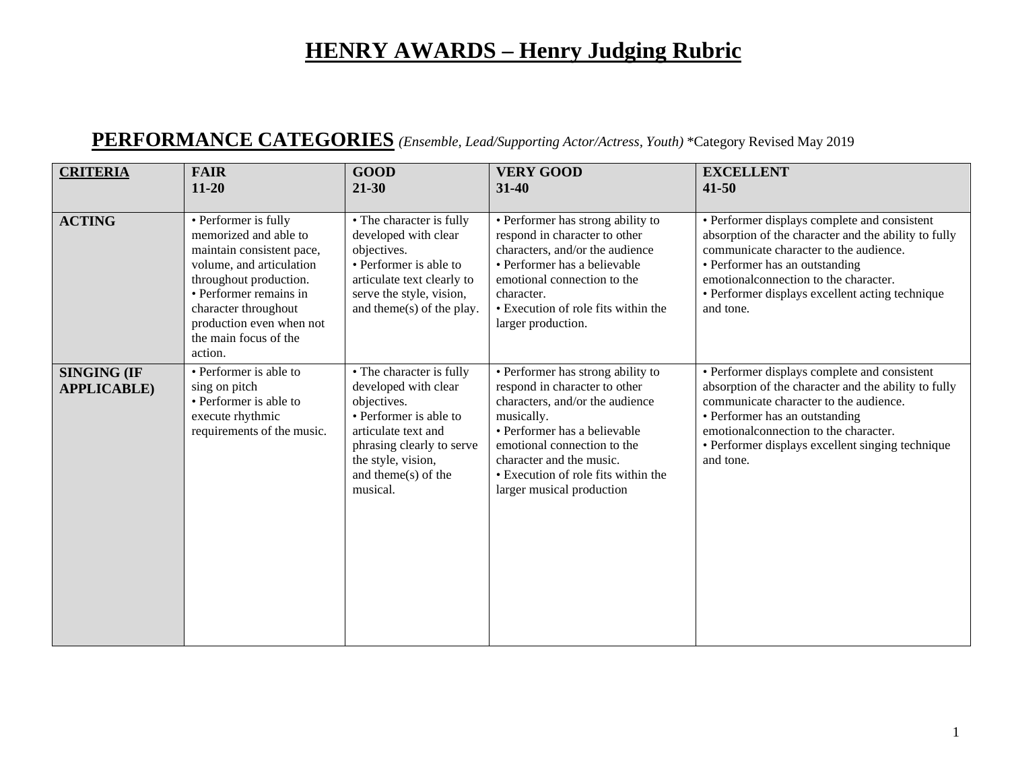#### **PERFORMANCE CATEGORIES** *(Ensemble, Lead/Supporting Actor/Actress, Youth)* \*Category Revised May 2019

| <b>CRITERIA</b>                          | <b>FAIR</b><br>$11 - 20$                                                                                                                                                                                                                           | <b>GOOD</b><br>$21 - 30$                                                                                                                                                                                   | <b>VERY GOOD</b><br>$31 - 40$                                                                                                                                                                                                                                                      | <b>EXCELLENT</b><br>$41 - 50$                                                                                                                                                                                                                                                              |
|------------------------------------------|----------------------------------------------------------------------------------------------------------------------------------------------------------------------------------------------------------------------------------------------------|------------------------------------------------------------------------------------------------------------------------------------------------------------------------------------------------------------|------------------------------------------------------------------------------------------------------------------------------------------------------------------------------------------------------------------------------------------------------------------------------------|--------------------------------------------------------------------------------------------------------------------------------------------------------------------------------------------------------------------------------------------------------------------------------------------|
| <b>ACTING</b>                            | • Performer is fully<br>memorized and able to<br>maintain consistent pace,<br>volume, and articulation<br>throughout production.<br>• Performer remains in<br>character throughout<br>production even when not<br>the main focus of the<br>action. | • The character is fully<br>developed with clear<br>objectives.<br>• Performer is able to<br>articulate text clearly to<br>serve the style, vision,<br>and theme( $s$ ) of the play.                       | • Performer has strong ability to<br>respond in character to other<br>characters, and/or the audience<br>• Performer has a believable<br>emotional connection to the<br>character.<br>• Execution of role fits within the<br>larger production.                                    | • Performer displays complete and consistent<br>absorption of the character and the ability to fully<br>communicate character to the audience.<br>• Performer has an outstanding<br>emotional connection to the character.<br>• Performer displays excellent acting technique<br>and tone. |
| <b>SINGING (IF</b><br><b>APPLICABLE)</b> | • Performer is able to<br>sing on pitch<br>• Performer is able to<br>execute rhythmic<br>requirements of the music.                                                                                                                                | • The character is fully<br>developed with clear<br>objectives.<br>• Performer is able to<br>articulate text and<br>phrasing clearly to serve<br>the style, vision,<br>and theme( $s$ ) of the<br>musical. | • Performer has strong ability to<br>respond in character to other<br>characters, and/or the audience<br>musically.<br>• Performer has a believable<br>emotional connection to the<br>character and the music.<br>• Execution of role fits within the<br>larger musical production | • Performer displays complete and consistent<br>absorption of the character and the ability to fully<br>communicate character to the audience.<br>• Performer has an outstanding<br>emotionalconnection to the character.<br>• Performer displays excellent singing technique<br>and tone. |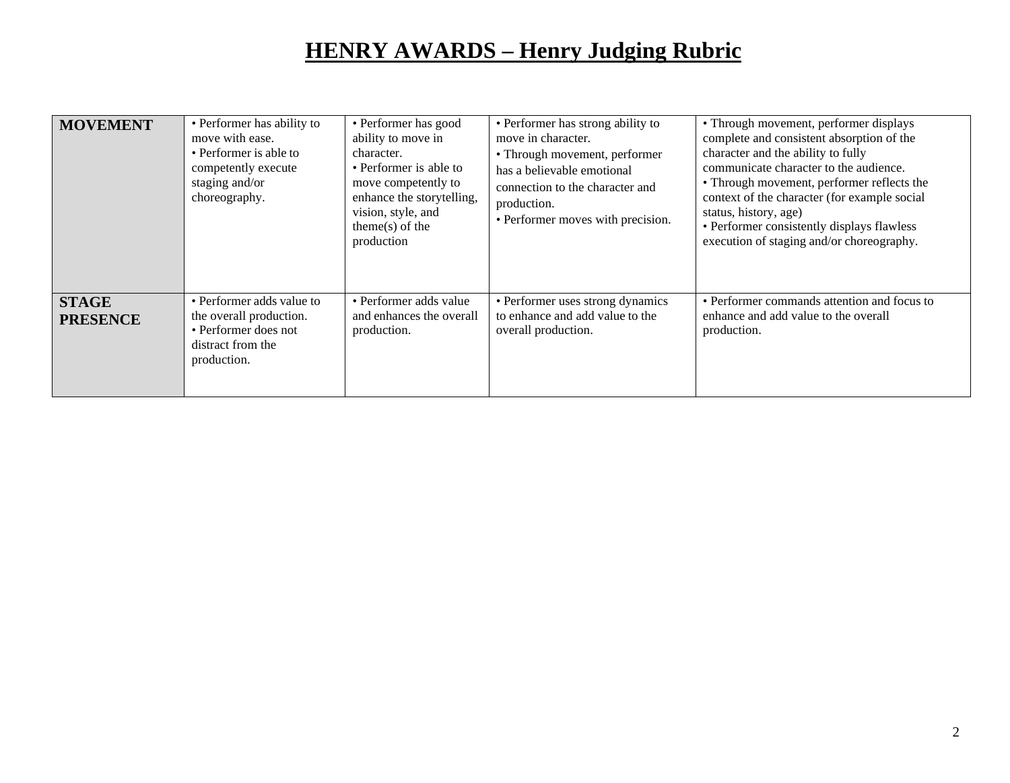| <b>MOVEMENT</b>                 | • Performer has ability to<br>move with ease.<br>• Performer is able to<br>competently execute<br>staging and/or<br>choreography. | • Performer has good<br>ability to move in<br>character.<br>• Performer is able to<br>move competently to<br>enhance the storytelling,<br>vision, style, and<br>$theme(s)$ of the<br>production | • Performer has strong ability to<br>move in character.<br>• Through movement, performer<br>has a believable emotional<br>connection to the character and<br>production.<br>• Performer moves with precision. | • Through movement, performer displays<br>complete and consistent absorption of the<br>character and the ability to fully<br>communicate character to the audience.<br>• Through movement, performer reflects the<br>context of the character (for example social<br>status, history, age)<br>• Performer consistently displays flawless<br>execution of staging and/or choreography. |
|---------------------------------|-----------------------------------------------------------------------------------------------------------------------------------|-------------------------------------------------------------------------------------------------------------------------------------------------------------------------------------------------|---------------------------------------------------------------------------------------------------------------------------------------------------------------------------------------------------------------|---------------------------------------------------------------------------------------------------------------------------------------------------------------------------------------------------------------------------------------------------------------------------------------------------------------------------------------------------------------------------------------|
| <b>STAGE</b><br><b>PRESENCE</b> | • Performer adds value to<br>the overall production.<br>• Performer does not<br>distract from the<br>production.                  | • Performer adds value<br>and enhances the overall<br>production.                                                                                                                               | • Performer uses strong dynamics<br>to enhance and add value to the<br>overall production.                                                                                                                    | • Performer commands attention and focus to<br>enhance and add value to the overall<br>production.                                                                                                                                                                                                                                                                                    |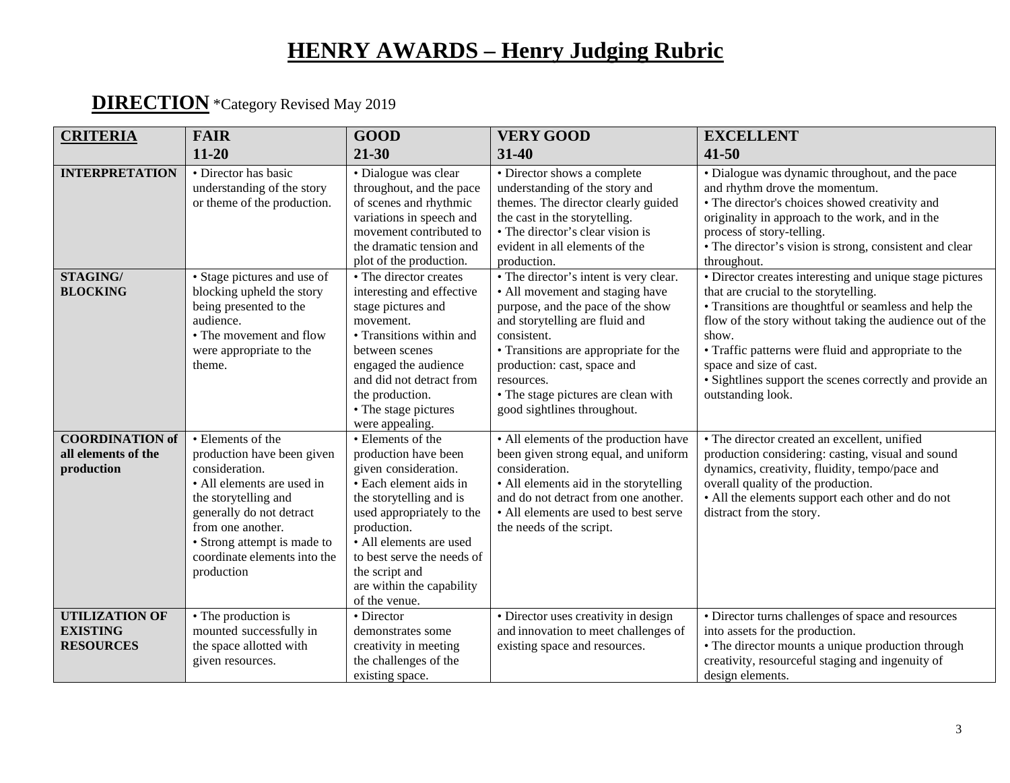#### **DIRECTION** \*Category Revised May 2019

| <b>CRITERIA</b>                                              | <b>FAIR</b>                                                                                                                                                                                                                                           | <b>GOOD</b>                                                                                                                                                                                                                                                                                 | <b>VERY GOOD</b>                                                                                                                                                                                                                                                                                                            | <b>EXCELLENT</b>                                                                                                                                                                                                                                                                                                                                                                                    |
|--------------------------------------------------------------|-------------------------------------------------------------------------------------------------------------------------------------------------------------------------------------------------------------------------------------------------------|---------------------------------------------------------------------------------------------------------------------------------------------------------------------------------------------------------------------------------------------------------------------------------------------|-----------------------------------------------------------------------------------------------------------------------------------------------------------------------------------------------------------------------------------------------------------------------------------------------------------------------------|-----------------------------------------------------------------------------------------------------------------------------------------------------------------------------------------------------------------------------------------------------------------------------------------------------------------------------------------------------------------------------------------------------|
|                                                              | $11 - 20$                                                                                                                                                                                                                                             | $21 - 30$                                                                                                                                                                                                                                                                                   | 31-40                                                                                                                                                                                                                                                                                                                       | $41 - 50$                                                                                                                                                                                                                                                                                                                                                                                           |
| <b>INTERPRETATION</b>                                        | • Director has basic<br>understanding of the story<br>or theme of the production.                                                                                                                                                                     | · Dialogue was clear<br>throughout, and the pace<br>of scenes and rhythmic<br>variations in speech and<br>movement contributed to<br>the dramatic tension and<br>plot of the production.                                                                                                    | • Director shows a complete<br>understanding of the story and<br>themes. The director clearly guided<br>the cast in the storytelling.<br>• The director's clear vision is<br>evident in all elements of the<br>production.                                                                                                  | • Dialogue was dynamic throughout, and the pace<br>and rhythm drove the momentum.<br>• The director's choices showed creativity and<br>originality in approach to the work, and in the<br>process of story-telling.<br>• The director's vision is strong, consistent and clear<br>throughout.                                                                                                       |
| STAGING/<br><b>BLOCKING</b>                                  | • Stage pictures and use of<br>blocking upheld the story<br>being presented to the<br>audience.<br>• The movement and flow<br>were appropriate to the<br>theme.                                                                                       | • The director creates<br>interesting and effective<br>stage pictures and<br>movement.<br>• Transitions within and<br>between scenes<br>engaged the audience<br>and did not detract from<br>the production.<br>• The stage pictures<br>were appealing.                                      | • The director's intent is very clear.<br>• All movement and staging have<br>purpose, and the pace of the show<br>and storytelling are fluid and<br>consistent.<br>• Transitions are appropriate for the<br>production: cast, space and<br>resources.<br>• The stage pictures are clean with<br>good sightlines throughout. | • Director creates interesting and unique stage pictures<br>that are crucial to the storytelling.<br>• Transitions are thoughtful or seamless and help the<br>flow of the story without taking the audience out of the<br>show.<br>• Traffic patterns were fluid and appropriate to the<br>space and size of cast.<br>• Sightlines support the scenes correctly and provide an<br>outstanding look. |
| <b>COORDINATION of</b><br>all elements of the<br>production  | • Elements of the<br>production have been given<br>consideration.<br>• All elements are used in<br>the storytelling and<br>generally do not detract<br>from one another.<br>• Strong attempt is made to<br>coordinate elements into the<br>production | • Elements of the<br>production have been<br>given consideration.<br>• Each element aids in<br>the storytelling and is<br>used appropriately to the<br>production.<br>· All elements are used<br>to best serve the needs of<br>the script and<br>are within the capability<br>of the venue. | • All elements of the production have<br>been given strong equal, and uniform<br>consideration.<br>• All elements aid in the storytelling<br>and do not detract from one another.<br>• All elements are used to best serve<br>the needs of the script.                                                                      | • The director created an excellent, unified<br>production considering: casting, visual and sound<br>dynamics, creativity, fluidity, tempo/pace and<br>overall quality of the production.<br>• All the elements support each other and do not<br>distract from the story.                                                                                                                           |
| <b>UTILIZATION OF</b><br><b>EXISTING</b><br><b>RESOURCES</b> | • The production is<br>mounted successfully in<br>the space allotted with<br>given resources.                                                                                                                                                         | • Director<br>demonstrates some<br>creativity in meeting<br>the challenges of the<br>existing space.                                                                                                                                                                                        | • Director uses creativity in design<br>and innovation to meet challenges of<br>existing space and resources.                                                                                                                                                                                                               | • Director turns challenges of space and resources<br>into assets for the production.<br>• The director mounts a unique production through<br>creativity, resourceful staging and ingenuity of<br>design elements.                                                                                                                                                                                  |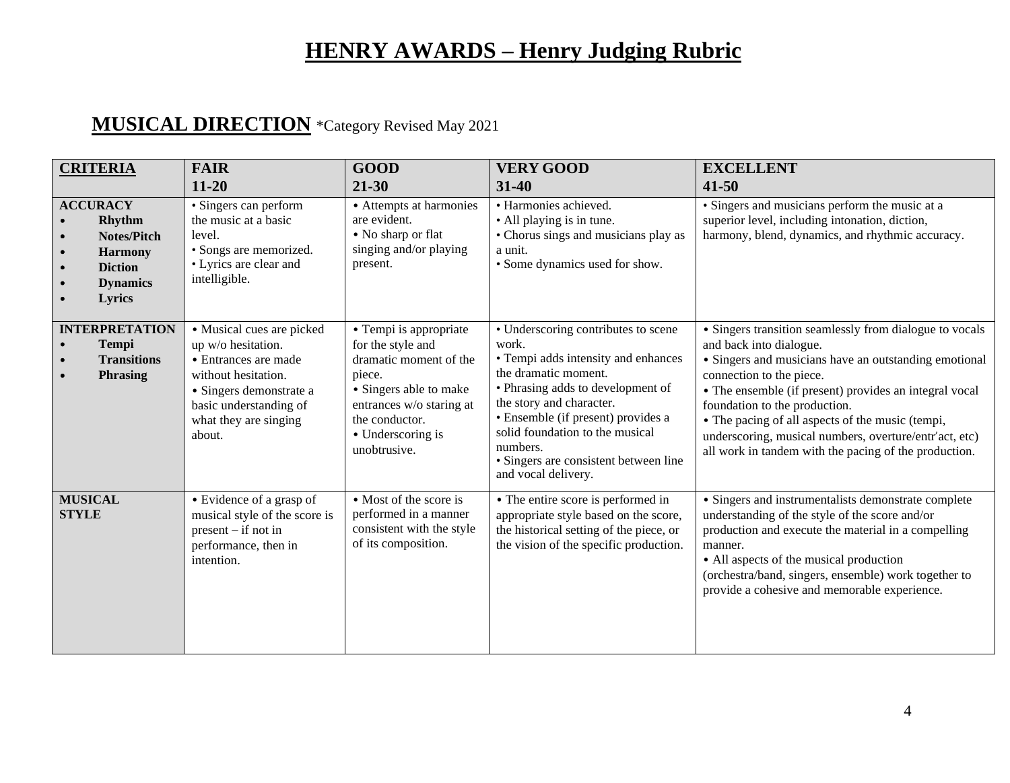#### **MUSICAL DIRECTION** \*Category Revised May 2021

| <b>CRITERIA</b>                                                                                                                                                      | <b>FAIR</b><br>$11 - 20$                                                                                                                                                               | <b>GOOD</b><br>$21 - 30$                                                                                                                                                                     | <b>VERY GOOD</b><br>$31 - 40$                                                                                                                                                                                                                                                                                                     | <b>EXCELLENT</b><br>$41 - 50$                                                                                                                                                                                                                                                                                                                                                                                                             |
|----------------------------------------------------------------------------------------------------------------------------------------------------------------------|----------------------------------------------------------------------------------------------------------------------------------------------------------------------------------------|----------------------------------------------------------------------------------------------------------------------------------------------------------------------------------------------|-----------------------------------------------------------------------------------------------------------------------------------------------------------------------------------------------------------------------------------------------------------------------------------------------------------------------------------|-------------------------------------------------------------------------------------------------------------------------------------------------------------------------------------------------------------------------------------------------------------------------------------------------------------------------------------------------------------------------------------------------------------------------------------------|
| <b>ACCURACY</b><br>Rhythm<br><b>Notes/Pitch</b><br>$\bullet$<br><b>Harmony</b><br>$\bullet$<br><b>Diction</b><br>$\bullet$<br><b>Dynamics</b><br>$\bullet$<br>Lyrics | · Singers can perform<br>the music at a basic<br>level.<br>· Songs are memorized.<br>• Lyrics are clear and<br>intelligible.                                                           | • Attempts at harmonies<br>are evident.<br>• No sharp or flat<br>singing and/or playing<br>present.                                                                                          | · Harmonies achieved.<br>• All playing is in tune.<br>• Chorus sings and musicians play as<br>a unit.<br>• Some dynamics used for show.                                                                                                                                                                                           | · Singers and musicians perform the music at a<br>superior level, including intonation, diction,<br>harmony, blend, dynamics, and rhythmic accuracy.                                                                                                                                                                                                                                                                                      |
| <b>INTERPRETATION</b><br><b>Tempi</b><br><b>Transitions</b><br><b>Phrasing</b><br>$\bullet$                                                                          | · Musical cues are picked<br>up w/o hesitation.<br>• Entrances are made<br>without hesitation.<br>· Singers demonstrate a<br>basic understanding of<br>what they are singing<br>about. | • Tempi is appropriate<br>for the style and<br>dramatic moment of the<br>piece.<br>• Singers able to make<br>entrances w/o staring at<br>the conductor.<br>• Underscoring is<br>unobtrusive. | • Underscoring contributes to scene<br>work.<br>• Tempi adds intensity and enhances<br>the dramatic moment.<br>• Phrasing adds to development of<br>the story and character.<br>• Ensemble (if present) provides a<br>solid foundation to the musical<br>numbers.<br>· Singers are consistent between line<br>and vocal delivery. | • Singers transition seamlessly from dialogue to vocals<br>and back into dialogue.<br>• Singers and musicians have an outstanding emotional<br>connection to the piece.<br>• The ensemble (if present) provides an integral vocal<br>foundation to the production.<br>• The pacing of all aspects of the music (tempi,<br>underscoring, musical numbers, overture/entr'act, etc)<br>all work in tandem with the pacing of the production. |
| <b>MUSICAL</b><br><b>STYLE</b>                                                                                                                                       | • Evidence of a grasp of<br>musical style of the score is<br>$present - if not in$<br>performance, then in<br>intention.                                                               | $\overline{\bullet}$ Most of the score is<br>performed in a manner<br>consistent with the style<br>of its composition.                                                                       | • The entire score is performed in<br>appropriate style based on the score,<br>the historical setting of the piece, or<br>the vision of the specific production.                                                                                                                                                                  | • Singers and instrumentalists demonstrate complete<br>understanding of the style of the score and/or<br>production and execute the material in a compelling<br>manner.<br>• All aspects of the musical production<br>(orchestra/band, singers, ensemble) work together to<br>provide a cohesive and memorable experience.                                                                                                                |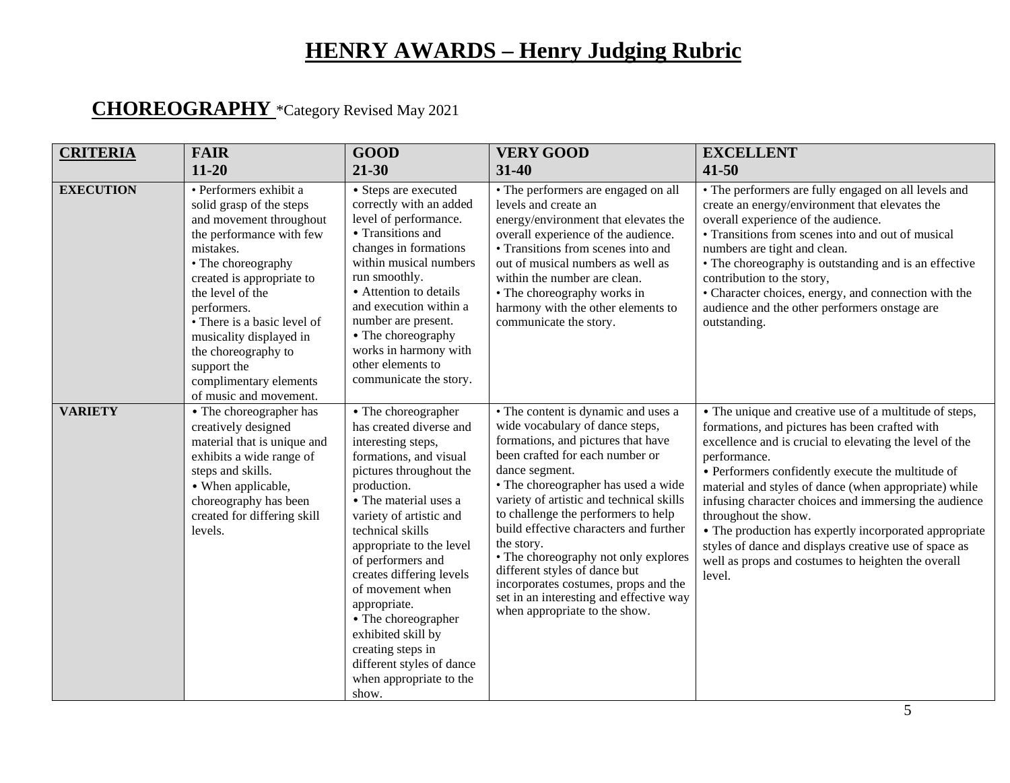## **CHOREOGRAPHY** \*Category Revised May 2021

| <b>CRITERIA</b>  | <b>FAIR</b><br>$11 - 20$                                                                                                                                                                                                                                                                                                                                         | <b>GOOD</b><br>$21 - 30$                                                                                                                                                                                                                                                                                                                                                                                                                                             | <b>VERY GOOD</b><br>31-40                                                                                                                                                                                                                                                                                                                                                                                                                                                                                                                        | <b>EXCELLENT</b><br>$41 - 50$                                                                                                                                                                                                                                                                                                                                                                                                                                                                                                                                         |
|------------------|------------------------------------------------------------------------------------------------------------------------------------------------------------------------------------------------------------------------------------------------------------------------------------------------------------------------------------------------------------------|----------------------------------------------------------------------------------------------------------------------------------------------------------------------------------------------------------------------------------------------------------------------------------------------------------------------------------------------------------------------------------------------------------------------------------------------------------------------|--------------------------------------------------------------------------------------------------------------------------------------------------------------------------------------------------------------------------------------------------------------------------------------------------------------------------------------------------------------------------------------------------------------------------------------------------------------------------------------------------------------------------------------------------|-----------------------------------------------------------------------------------------------------------------------------------------------------------------------------------------------------------------------------------------------------------------------------------------------------------------------------------------------------------------------------------------------------------------------------------------------------------------------------------------------------------------------------------------------------------------------|
| <b>EXECUTION</b> | · Performers exhibit a<br>solid grasp of the steps<br>and movement throughout<br>the performance with few<br>mistakes.<br>• The choreography<br>created is appropriate to<br>the level of the<br>performers.<br>• There is a basic level of<br>musicality displayed in<br>the choreography to<br>support the<br>complimentary elements<br>of music and movement. | • Steps are executed<br>correctly with an added<br>level of performance.<br>• Transitions and<br>changes in formations<br>within musical numbers<br>run smoothly.<br>• Attention to details<br>and execution within a<br>number are present.<br>• The choreography<br>works in harmony with<br>other elements to<br>communicate the story.                                                                                                                           | • The performers are engaged on all<br>levels and create an<br>energy/environment that elevates the<br>overall experience of the audience.<br>• Transitions from scenes into and<br>out of musical numbers as well as<br>within the number are clean.<br>• The choreography works in<br>harmony with the other elements to<br>communicate the story.                                                                                                                                                                                             | • The performers are fully engaged on all levels and<br>create an energy/environment that elevates the<br>overall experience of the audience.<br>• Transitions from scenes into and out of musical<br>numbers are tight and clean.<br>• The choreography is outstanding and is an effective<br>contribution to the story,<br>• Character choices, energy, and connection with the<br>audience and the other performers onstage are<br>outstanding.                                                                                                                    |
| <b>VARIETY</b>   | • The choreographer has<br>creatively designed<br>material that is unique and<br>exhibits a wide range of<br>steps and skills.<br>• When applicable,<br>choreography has been<br>created for differing skill<br>levels.                                                                                                                                          | • The choreographer<br>has created diverse and<br>interesting steps,<br>formations, and visual<br>pictures throughout the<br>production.<br>• The material uses a<br>variety of artistic and<br>technical skills<br>appropriate to the level<br>of performers and<br>creates differing levels<br>of movement when<br>appropriate.<br>• The choreographer<br>exhibited skill by<br>creating steps in<br>different styles of dance<br>when appropriate to the<br>show. | • The content is dynamic and uses a<br>wide vocabulary of dance steps,<br>formations, and pictures that have<br>been crafted for each number or<br>dance segment.<br>• The choreographer has used a wide<br>variety of artistic and technical skills<br>to challenge the performers to help<br>build effective characters and further<br>the story.<br>• The choreography not only explores<br>different styles of dance but<br>incorporates costumes, props and the<br>set in an interesting and effective way<br>when appropriate to the show. | • The unique and creative use of a multitude of steps,<br>formations, and pictures has been crafted with<br>excellence and is crucial to elevating the level of the<br>performance.<br>• Performers confidently execute the multitude of<br>material and styles of dance (when appropriate) while<br>infusing character choices and immersing the audience<br>throughout the show.<br>• The production has expertly incorporated appropriate<br>styles of dance and displays creative use of space as<br>well as props and costumes to heighten the overall<br>level. |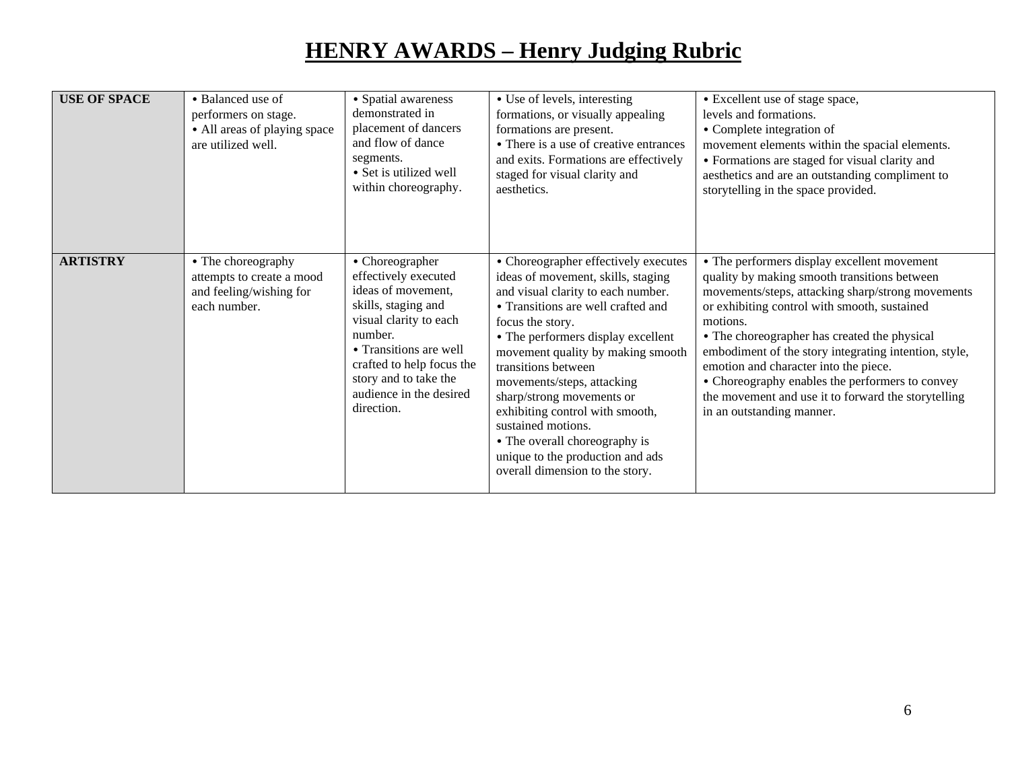| <b>USE OF SPACE</b> | • Balanced use of<br>performers on stage.<br>• All areas of playing space<br>are utilized well. | • Spatial awareness<br>demonstrated in<br>placement of dancers<br>and flow of dance<br>segments.<br>• Set is utilized well<br>within choreography.                                                                                                 | • Use of levels, interesting<br>formations, or visually appealing<br>formations are present.<br>• There is a use of creative entrances<br>and exits. Formations are effectively<br>staged for visual clarity and<br>aesthetics.                                                                                                                                                                                                                                                                          | • Excellent use of stage space,<br>levels and formations.<br>• Complete integration of<br>movement elements within the spacial elements.<br>• Formations are staged for visual clarity and<br>aesthetics and are an outstanding compliment to<br>storytelling in the space provided.                                                                                                                                                                                                                  |
|---------------------|-------------------------------------------------------------------------------------------------|----------------------------------------------------------------------------------------------------------------------------------------------------------------------------------------------------------------------------------------------------|----------------------------------------------------------------------------------------------------------------------------------------------------------------------------------------------------------------------------------------------------------------------------------------------------------------------------------------------------------------------------------------------------------------------------------------------------------------------------------------------------------|-------------------------------------------------------------------------------------------------------------------------------------------------------------------------------------------------------------------------------------------------------------------------------------------------------------------------------------------------------------------------------------------------------------------------------------------------------------------------------------------------------|
| <b>ARTISTRY</b>     | • The choreography<br>attempts to create a mood<br>and feeling/wishing for<br>each number.      | • Choreographer<br>effectively executed<br>ideas of movement,<br>skills, staging and<br>visual clarity to each<br>number.<br>• Transitions are well<br>crafted to help focus the<br>story and to take the<br>audience in the desired<br>direction. | • Choreographer effectively executes<br>ideas of movement, skills, staging<br>and visual clarity to each number.<br>• Transitions are well crafted and<br>focus the story.<br>• The performers display excellent<br>movement quality by making smooth<br>transitions between<br>movements/steps, attacking<br>sharp/strong movements or<br>exhibiting control with smooth,<br>sustained motions.<br>• The overall choreography is<br>unique to the production and ads<br>overall dimension to the story. | • The performers display excellent movement<br>quality by making smooth transitions between<br>movements/steps, attacking sharp/strong movements<br>or exhibiting control with smooth, sustained<br>motions.<br>• The choreographer has created the physical<br>embodiment of the story integrating intention, style,<br>emotion and character into the piece.<br>• Choreography enables the performers to convey<br>the movement and use it to forward the storytelling<br>in an outstanding manner. |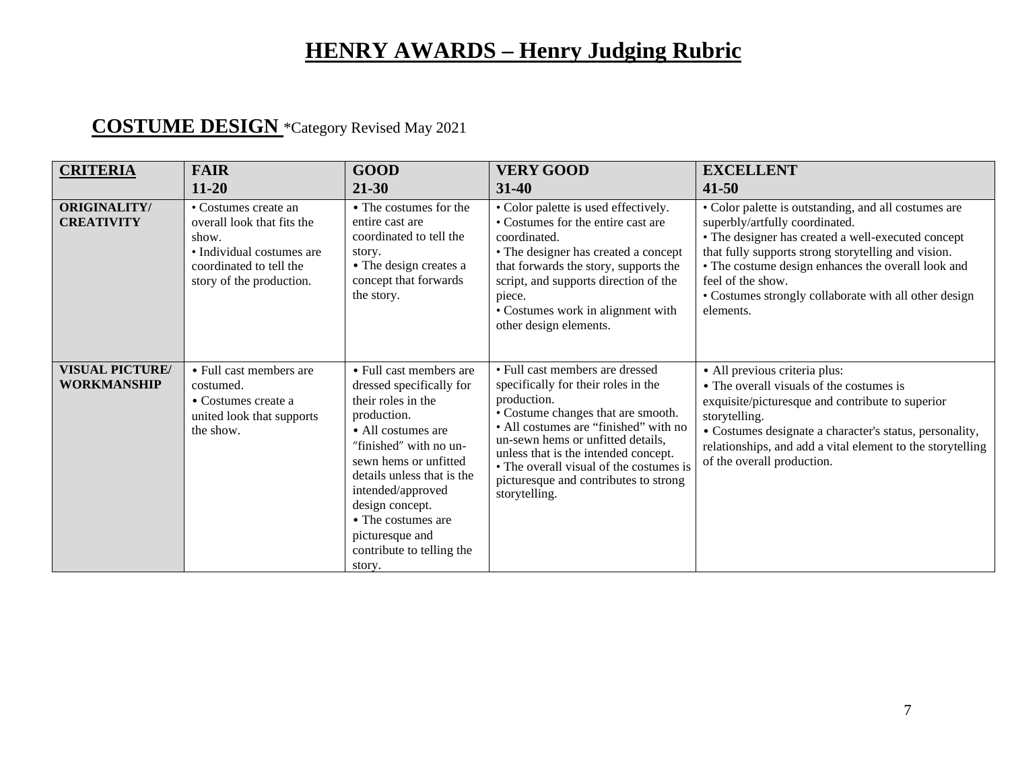#### **COSTUME DESIGN** \*Category Revised May 2021

| <b>CRITERIA</b>                              | <b>FAIR</b><br>$11 - 20$                                                                                                                        | <b>GOOD</b><br>$21 - 30$                                                                                                                                                                                                                                                                                                | <b>VERY GOOD</b><br>$31 - 40$                                                                                                                                                                                                                                                                                                                           | <b>EXCELLENT</b><br>$41 - 50$                                                                                                                                                                                                                                                                                                                        |
|----------------------------------------------|-------------------------------------------------------------------------------------------------------------------------------------------------|-------------------------------------------------------------------------------------------------------------------------------------------------------------------------------------------------------------------------------------------------------------------------------------------------------------------------|---------------------------------------------------------------------------------------------------------------------------------------------------------------------------------------------------------------------------------------------------------------------------------------------------------------------------------------------------------|------------------------------------------------------------------------------------------------------------------------------------------------------------------------------------------------------------------------------------------------------------------------------------------------------------------------------------------------------|
| <b>ORIGINALITY/</b><br><b>CREATIVITY</b>     | • Costumes create an<br>overall look that fits the<br>show.<br>• Individual costumes are<br>coordinated to tell the<br>story of the production. | • The costumes for the<br>entire cast are<br>coordinated to tell the<br>story.<br>• The design creates a<br>concept that forwards<br>the story.                                                                                                                                                                         | • Color palette is used effectively.<br>• Costumes for the entire cast are<br>coordinated.<br>• The designer has created a concept<br>that forwards the story, supports the<br>script, and supports direction of the<br>piece.<br>• Costumes work in alignment with<br>other design elements.                                                           | • Color palette is outstanding, and all costumes are<br>superbly/artfully coordinated.<br>• The designer has created a well-executed concept<br>that fully supports strong storytelling and vision.<br>• The costume design enhances the overall look and<br>feel of the show.<br>• Costumes strongly collaborate with all other design<br>elements. |
| <b>VISUAL PICTURE/</b><br><b>WORKMANSHIP</b> | • Full cast members are<br>costumed.<br>• Costumes create a<br>united look that supports<br>the show.                                           | • Full cast members are<br>dressed specifically for<br>their roles in the<br>production.<br>• All costumes are<br>"finished" with no un-<br>sewn hems or unfitted<br>details unless that is the<br>intended/approved<br>design concept.<br>• The costumes are<br>picturesque and<br>contribute to telling the<br>story. | • Full cast members are dressed<br>specifically for their roles in the<br>production.<br>• Costume changes that are smooth.<br>• All costumes are "finished" with no<br>un-sewn hems or unfitted details,<br>unless that is the intended concept.<br>• The overall visual of the costumes is<br>pictures que and contributes to strong<br>storytelling. | · All previous criteria plus:<br>• The overall visuals of the costumes is<br>exquisite/picturesque and contribute to superior<br>storytelling.<br>• Costumes designate a character's status, personality,<br>relationships, and add a vital element to the storytelling<br>of the overall production.                                                |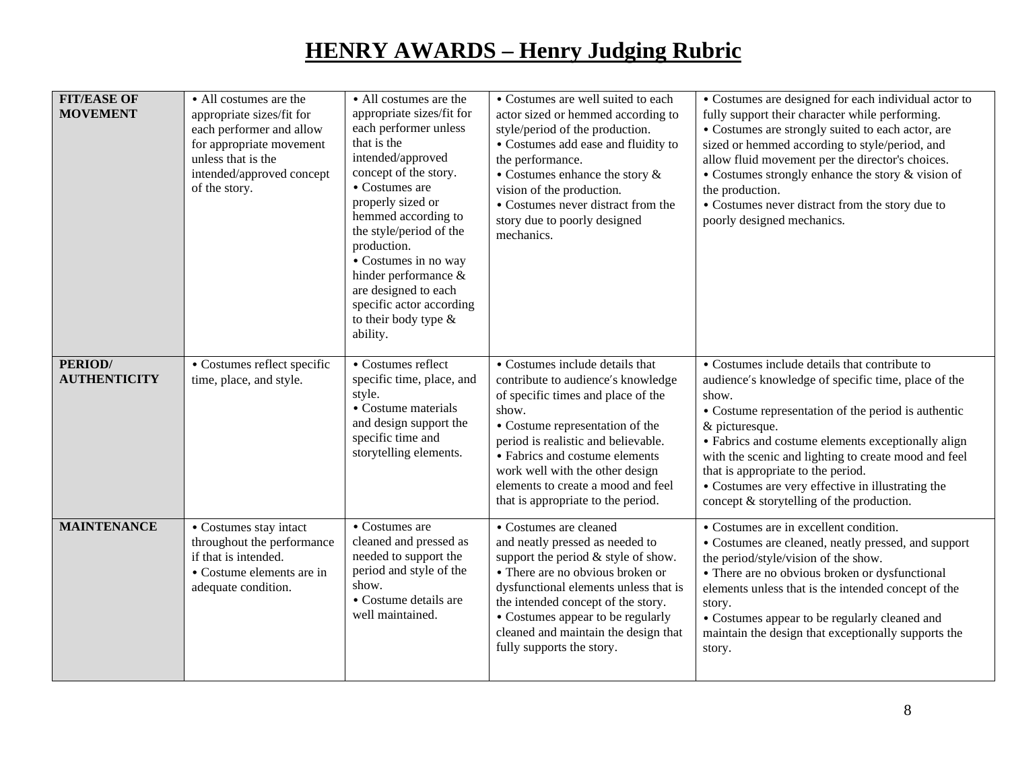| <b>FIT/EASE OF</b><br><b>MOVEMENT</b> | • All costumes are the<br>appropriate sizes/fit for<br>each performer and allow<br>for appropriate movement<br>unless that is the<br>intended/approved concept<br>of the story. | • All costumes are the<br>appropriate sizes/fit for<br>each performer unless<br>that is the<br>intended/approved<br>concept of the story.<br>• Costumes are<br>properly sized or<br>hemmed according to<br>the style/period of the<br>production.<br>• Costumes in no way<br>hinder performance &<br>are designed to each<br>specific actor according<br>to their body type &<br>ability. | • Costumes are well suited to each<br>actor sized or hemmed according to<br>style/period of the production.<br>• Costumes add ease and fluidity to<br>the performance.<br>$\bullet$ Costumes enhance the story $\&$<br>vision of the production.<br>• Costumes never distract from the<br>story due to poorly designed<br>mechanics.            | • Costumes are designed for each individual actor to<br>fully support their character while performing.<br>• Costumes are strongly suited to each actor, are<br>sized or hemmed according to style/period, and<br>allow fluid movement per the director's choices.<br>• Costumes strongly enhance the story & vision of<br>the production.<br>• Costumes never distract from the story due to<br>poorly designed mechanics.                  |
|---------------------------------------|---------------------------------------------------------------------------------------------------------------------------------------------------------------------------------|-------------------------------------------------------------------------------------------------------------------------------------------------------------------------------------------------------------------------------------------------------------------------------------------------------------------------------------------------------------------------------------------|-------------------------------------------------------------------------------------------------------------------------------------------------------------------------------------------------------------------------------------------------------------------------------------------------------------------------------------------------|----------------------------------------------------------------------------------------------------------------------------------------------------------------------------------------------------------------------------------------------------------------------------------------------------------------------------------------------------------------------------------------------------------------------------------------------|
| PERIOD/<br><b>AUTHENTICITY</b>        | • Costumes reflect specific<br>time, place, and style.                                                                                                                          | • Costumes reflect<br>specific time, place, and<br>style.<br>• Costume materials<br>and design support the<br>specific time and<br>storytelling elements.                                                                                                                                                                                                                                 | • Costumes include details that<br>contribute to audience's knowledge<br>of specific times and place of the<br>show.<br>• Costume representation of the<br>period is realistic and believable.<br>• Fabrics and costume elements<br>work well with the other design<br>elements to create a mood and feel<br>that is appropriate to the period. | • Costumes include details that contribute to<br>audience's knowledge of specific time, place of the<br>show.<br>• Costume representation of the period is authentic<br>& picturesque.<br>• Fabrics and costume elements exceptionally align<br>with the scenic and lighting to create mood and feel<br>that is appropriate to the period.<br>• Costumes are very effective in illustrating the<br>concept & storytelling of the production. |
| <b>MAINTENANCE</b>                    | • Costumes stay intact<br>throughout the performance<br>if that is intended.<br>• Costume elements are in<br>adequate condition.                                                | • Costumes are<br>cleaned and pressed as<br>needed to support the<br>period and style of the<br>show.<br>• Costume details are<br>well maintained.                                                                                                                                                                                                                                        | • Costumes are cleaned<br>and neatly pressed as needed to<br>support the period $&$ style of show.<br>• There are no obvious broken or<br>dysfunctional elements unless that is<br>the intended concept of the story.<br>• Costumes appear to be regularly<br>cleaned and maintain the design that<br>fully supports the story.                 | • Costumes are in excellent condition.<br>• Costumes are cleaned, neatly pressed, and support<br>the period/style/vision of the show.<br>• There are no obvious broken or dysfunctional<br>elements unless that is the intended concept of the<br>story.<br>• Costumes appear to be regularly cleaned and<br>maintain the design that exceptionally supports the<br>story.                                                                   |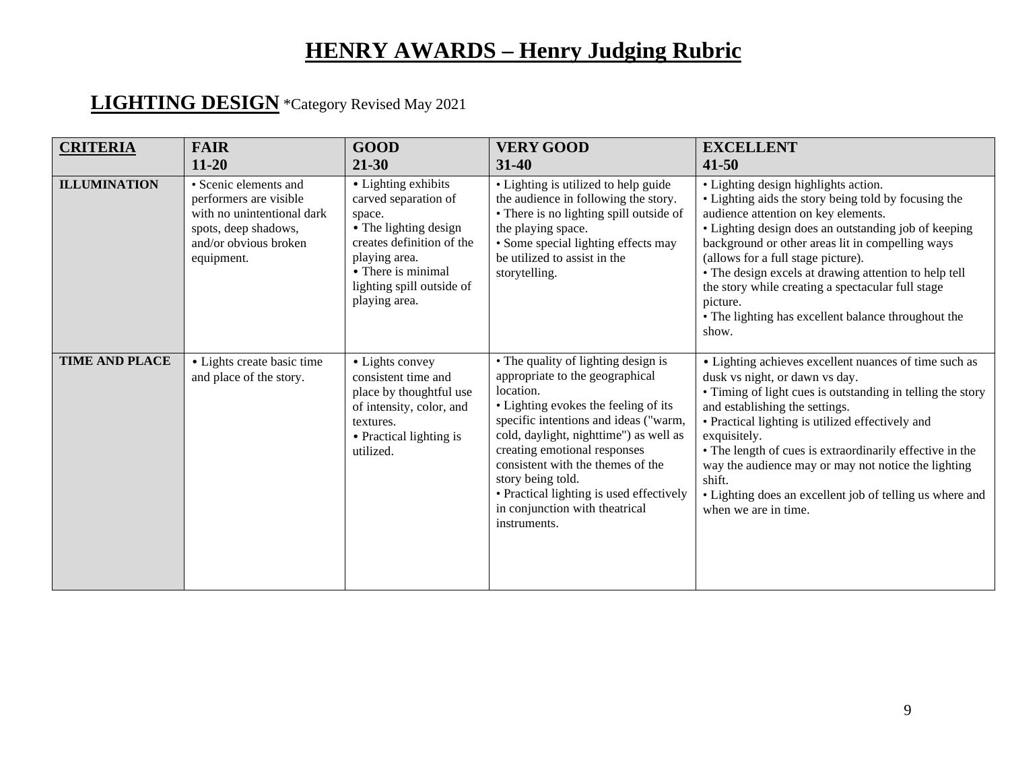#### **LIGHTING DESIGN** \*Category Revised May 2021

| <b>CRITERIA</b>       | <b>FAIR</b><br>$11 - 20$                                                                                                                     | <b>GOOD</b><br>$21 - 30$                                                                                                                                                                         | <b>VERY GOOD</b><br>$31 - 40$                                                                                                                                                                                                                                                                                                                                                                          | <b>EXCELLENT</b><br>$41 - 50$                                                                                                                                                                                                                                                                                                                                                                                                                                                   |
|-----------------------|----------------------------------------------------------------------------------------------------------------------------------------------|--------------------------------------------------------------------------------------------------------------------------------------------------------------------------------------------------|--------------------------------------------------------------------------------------------------------------------------------------------------------------------------------------------------------------------------------------------------------------------------------------------------------------------------------------------------------------------------------------------------------|---------------------------------------------------------------------------------------------------------------------------------------------------------------------------------------------------------------------------------------------------------------------------------------------------------------------------------------------------------------------------------------------------------------------------------------------------------------------------------|
| <b>ILLUMINATION</b>   | • Scenic elements and<br>performers are visible<br>with no unintentional dark<br>spots, deep shadows,<br>and/or obvious broken<br>equipment. | • Lighting exhibits<br>carved separation of<br>space.<br>• The lighting design<br>creates definition of the<br>playing area.<br>• There is minimal<br>lighting spill outside of<br>playing area. | • Lighting is utilized to help guide<br>the audience in following the story.<br>• There is no lighting spill outside of<br>the playing space.<br>• Some special lighting effects may<br>be utilized to assist in the<br>storytelling.                                                                                                                                                                  | • Lighting design highlights action.<br>• Lighting aids the story being told by focusing the<br>audience attention on key elements.<br>• Lighting design does an outstanding job of keeping<br>background or other areas lit in compelling ways<br>(allows for a full stage picture).<br>• The design excels at drawing attention to help tell<br>the story while creating a spectacular full stage<br>picture.<br>• The lighting has excellent balance throughout the<br>show. |
| <b>TIME AND PLACE</b> | · Lights create basic time<br>and place of the story.                                                                                        | • Lights convey<br>consistent time and<br>place by thoughtful use<br>of intensity, color, and<br>textures.<br>• Practical lighting is<br>utilized.                                               | • The quality of lighting design is<br>appropriate to the geographical<br>location.<br>• Lighting evokes the feeling of its<br>specific intentions and ideas ("warm,<br>cold, daylight, nighttime") as well as<br>creating emotional responses<br>consistent with the themes of the<br>story being told.<br>• Practical lighting is used effectively<br>in conjunction with theatrical<br>instruments. | • Lighting achieves excellent nuances of time such as<br>dusk vs night, or dawn vs day.<br>• Timing of light cues is outstanding in telling the story<br>and establishing the settings.<br>• Practical lighting is utilized effectively and<br>exquisitely.<br>• The length of cues is extraordinarily effective in the<br>way the audience may or may not notice the lighting<br>shift.<br>• Lighting does an excellent job of telling us where and<br>when we are in time.    |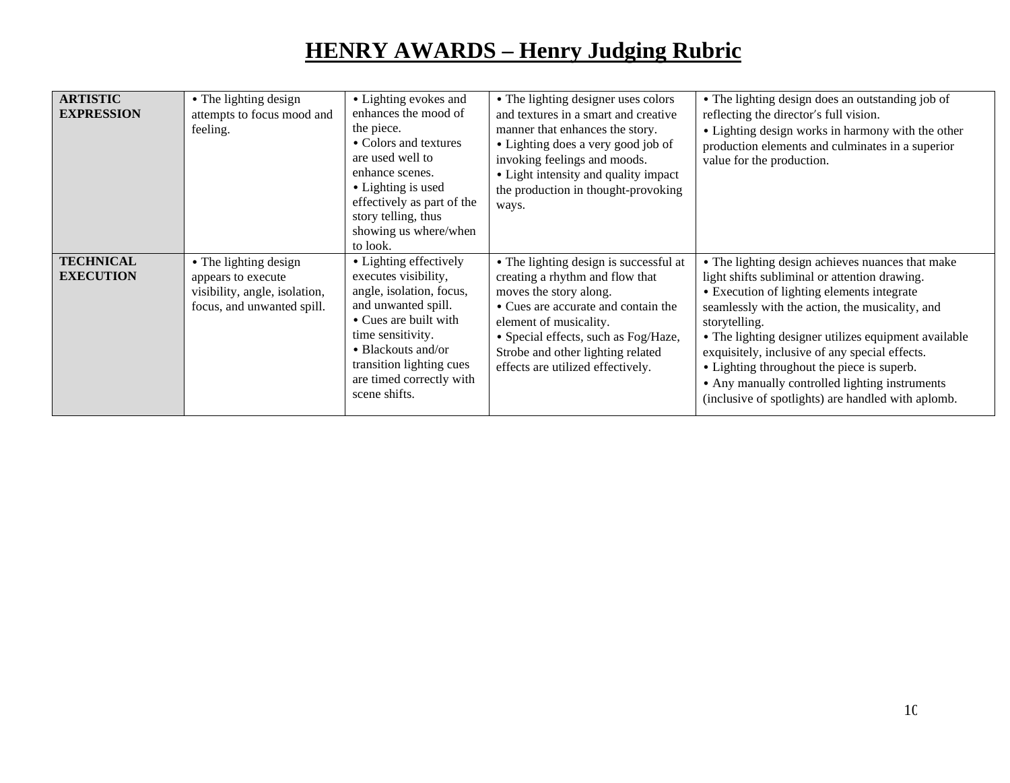| <b>ARTISTIC</b><br><b>EXPRESSION</b> | • The lighting design<br>attempts to focus mood and<br>feeling.                                            | • Lighting evokes and<br>enhances the mood of<br>the piece.<br>• Colors and textures<br>are used well to<br>enhance scenes.<br>• Lighting is used<br>effectively as part of the<br>story telling, thus<br>showing us where/when<br>to look.    | • The lighting designer uses colors<br>and textures in a smart and creative<br>manner that enhances the story.<br>• Lighting does a very good job of<br>invoking feelings and moods.<br>• Light intensity and quality impact<br>the production in thought-provoking<br>ways.           | • The lighting design does an outstanding job of<br>reflecting the director's full vision.<br>• Lighting design works in harmony with the other<br>production elements and culminates in a superior<br>value for the production.                                                                                                                                                                                                                                                    |
|--------------------------------------|------------------------------------------------------------------------------------------------------------|------------------------------------------------------------------------------------------------------------------------------------------------------------------------------------------------------------------------------------------------|----------------------------------------------------------------------------------------------------------------------------------------------------------------------------------------------------------------------------------------------------------------------------------------|-------------------------------------------------------------------------------------------------------------------------------------------------------------------------------------------------------------------------------------------------------------------------------------------------------------------------------------------------------------------------------------------------------------------------------------------------------------------------------------|
| <b>TECHNICAL</b><br><b>EXECUTION</b> | • The lighting design<br>appears to execute<br>visibility, angle, isolation,<br>focus, and unwanted spill. | • Lighting effectively<br>executes visibility,<br>angle, isolation, focus,<br>and unwanted spill.<br>• Cues are built with<br>time sensitivity.<br>• Blackouts and/or<br>transition lighting cues<br>are timed correctly with<br>scene shifts. | • The lighting design is successful at<br>creating a rhythm and flow that<br>moves the story along.<br>• Cues are accurate and contain the<br>element of musicality.<br>· Special effects, such as Fog/Haze,<br>Strobe and other lighting related<br>effects are utilized effectively. | • The lighting design achieves nuances that make<br>light shifts subliminal or attention drawing.<br>• Execution of lighting elements integrate<br>seamlessly with the action, the musicality, and<br>storytelling.<br>• The lighting designer utilizes equipment available<br>exquisitely, inclusive of any special effects.<br>• Lighting throughout the piece is superb.<br>• Any manually controlled lighting instruments<br>(inclusive of spotlights) are handled with aplomb. |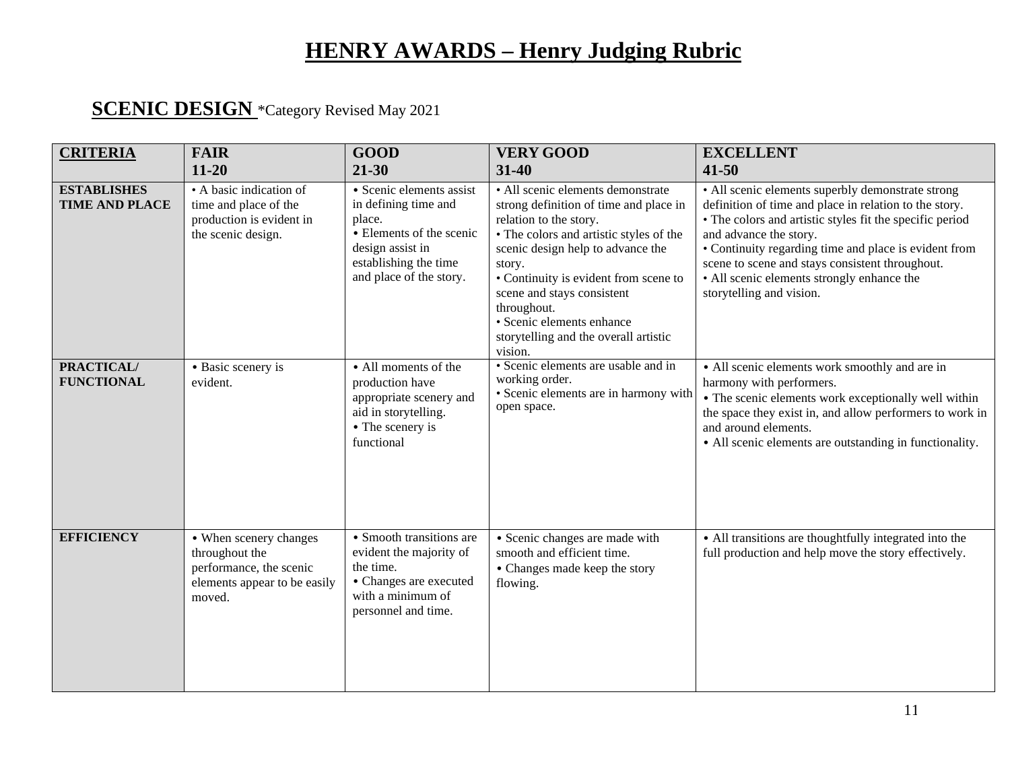#### **SCENIC DESIGN** \*Category Revised May 2021

| <b>CRITERIA</b>                             | <b>FAIR</b>                                                                                                   | <b>GOOD</b>                                                                                                                                                    | <b>VERY GOOD</b>                                                                                                                                                                                                                                                                                                                                                       | <b>EXCELLENT</b>                                                                                                                                                                                                                                                                                                                                                                        |
|---------------------------------------------|---------------------------------------------------------------------------------------------------------------|----------------------------------------------------------------------------------------------------------------------------------------------------------------|------------------------------------------------------------------------------------------------------------------------------------------------------------------------------------------------------------------------------------------------------------------------------------------------------------------------------------------------------------------------|-----------------------------------------------------------------------------------------------------------------------------------------------------------------------------------------------------------------------------------------------------------------------------------------------------------------------------------------------------------------------------------------|
|                                             | $11 - 20$                                                                                                     | 21-30                                                                                                                                                          | $31 - 40$                                                                                                                                                                                                                                                                                                                                                              | $41 - 50$                                                                                                                                                                                                                                                                                                                                                                               |
| <b>ESTABLISHES</b><br><b>TIME AND PLACE</b> | • A basic indication of<br>time and place of the<br>production is evident in<br>the scenic design.            | · Scenic elements assist<br>in defining time and<br>place.<br>• Elements of the scenic<br>design assist in<br>establishing the time<br>and place of the story. | · All scenic elements demonstrate<br>strong definition of time and place in<br>relation to the story.<br>• The colors and artistic styles of the<br>scenic design help to advance the<br>story.<br>• Continuity is evident from scene to<br>scene and stays consistent<br>throughout.<br>· Scenic elements enhance<br>storytelling and the overall artistic<br>vision. | • All scenic elements superbly demonstrate strong<br>definition of time and place in relation to the story.<br>• The colors and artistic styles fit the specific period<br>and advance the story.<br>• Continuity regarding time and place is evident from<br>scene to scene and stays consistent throughout.<br>• All scenic elements strongly enhance the<br>storytelling and vision. |
| <b>PRACTICAL/</b><br><b>FUNCTIONAL</b>      | • Basic scenery is<br>evident.                                                                                | • All moments of the<br>production have<br>appropriate scenery and<br>aid in storytelling.<br>• The scenery is<br>functional                                   | • Scenic elements are usable and in<br>working order.<br>· Scenic elements are in harmony with<br>open space.                                                                                                                                                                                                                                                          | • All scenic elements work smoothly and are in<br>harmony with performers.<br>• The scenic elements work exceptionally well within<br>the space they exist in, and allow performers to work in<br>and around elements.<br>• All scenic elements are outstanding in functionality.                                                                                                       |
| <b>EFFICIENCY</b>                           | • When scenery changes<br>throughout the<br>performance, the scenic<br>elements appear to be easily<br>moved. | • Smooth transitions are<br>evident the majority of<br>the time.<br>• Changes are executed<br>with a minimum of<br>personnel and time.                         | • Scenic changes are made with<br>smooth and efficient time.<br>• Changes made keep the story<br>flowing.                                                                                                                                                                                                                                                              | • All transitions are thoughtfully integrated into the<br>full production and help move the story effectively.                                                                                                                                                                                                                                                                          |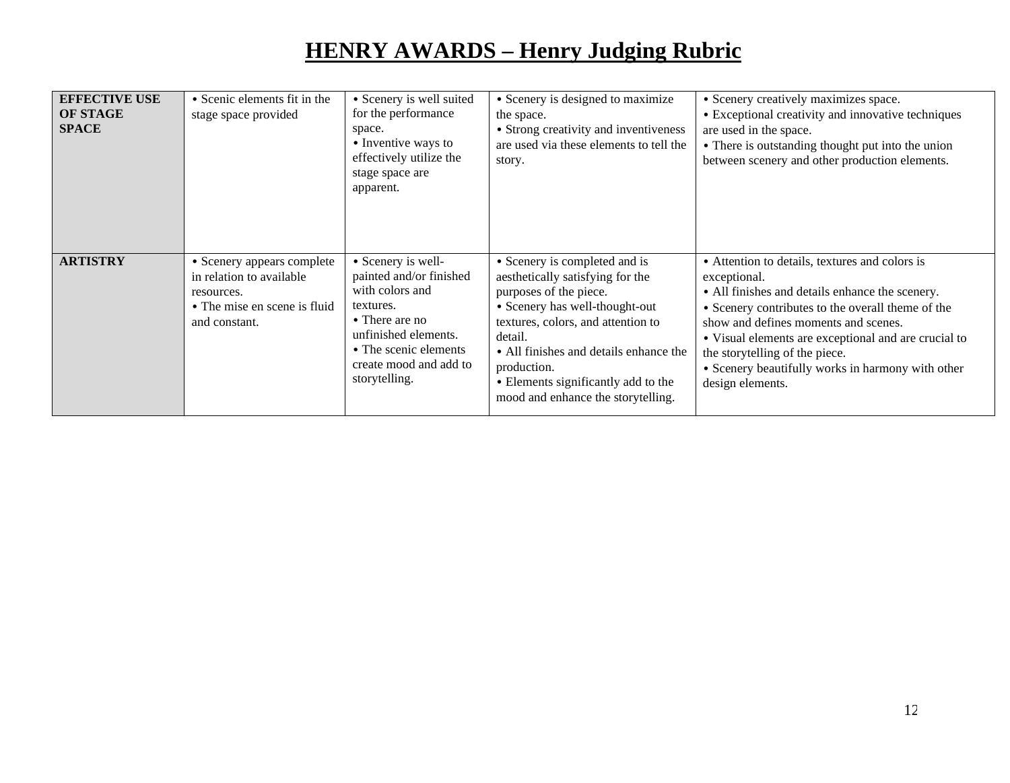| <b>EFFECTIVE USE</b><br><b>OF STAGE</b><br><b>SPACE</b> | • Scenic elements fit in the<br>stage space provided                                                                  | • Scenery is well suited<br>for the performance<br>space.<br>• Inventive ways to<br>effectively utilize the<br>stage space are<br>apparent.                                                 | • Scenery is designed to maximize<br>the space.<br>• Strong creativity and inventiveness<br>are used via these elements to tell the<br>story.                                                                                                                                                                        | • Scenery creatively maximizes space.<br>• Exceptional creativity and innovative techniques<br>are used in the space.<br>• There is outstanding thought put into the union<br>between scenery and other production elements.                                                                                                                                                      |
|---------------------------------------------------------|-----------------------------------------------------------------------------------------------------------------------|---------------------------------------------------------------------------------------------------------------------------------------------------------------------------------------------|----------------------------------------------------------------------------------------------------------------------------------------------------------------------------------------------------------------------------------------------------------------------------------------------------------------------|-----------------------------------------------------------------------------------------------------------------------------------------------------------------------------------------------------------------------------------------------------------------------------------------------------------------------------------------------------------------------------------|
| <b>ARTISTRY</b>                                         | • Scenery appears complete<br>in relation to available<br>resources.<br>• The mise en scene is fluid<br>and constant. | • Scenery is well-<br>painted and/or finished<br>with colors and<br>textures.<br>• There are no<br>unfinished elements.<br>• The scenic elements<br>create mood and add to<br>storytelling. | • Scenery is completed and is<br>aesthetically satisfying for the<br>purposes of the piece.<br>• Scenery has well-thought-out<br>textures, colors, and attention to<br>detail.<br>• All finishes and details enhance the<br>production.<br>• Elements significantly add to the<br>mood and enhance the storytelling. | • Attention to details, textures and colors is<br>exceptional.<br>• All finishes and details enhance the scenery.<br>• Scenery contributes to the overall theme of the<br>show and defines moments and scenes.<br>• Visual elements are exceptional and are crucial to<br>the storytelling of the piece.<br>• Scenery beautifully works in harmony with other<br>design elements. |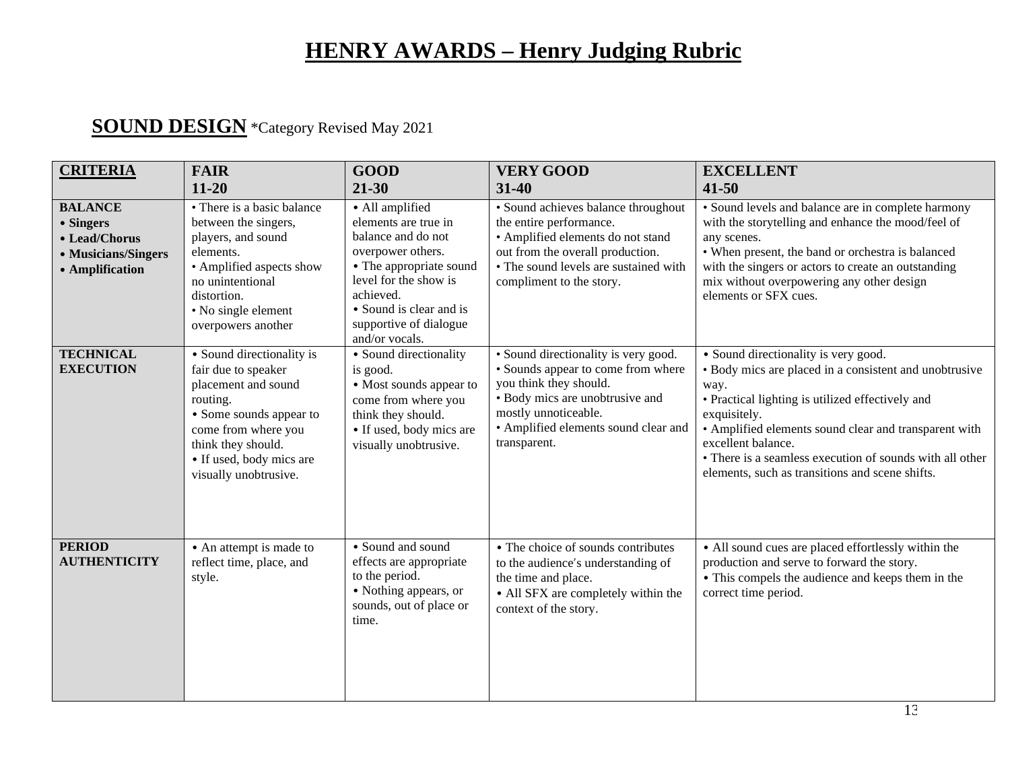#### **SOUND DESIGN** \*Category Revised May 2021

| <b>CRITERIA</b>                                                                        | <b>FAIR</b>                                                                                                                                                                                                      | <b>GOOD</b>                                                                                                                                                                                                                | <b>VERY GOOD</b>                                                                                                                                                                                                        | <b>EXCELLENT</b>                                                                                                                                                                                                                                                                                                                                                         |
|----------------------------------------------------------------------------------------|------------------------------------------------------------------------------------------------------------------------------------------------------------------------------------------------------------------|----------------------------------------------------------------------------------------------------------------------------------------------------------------------------------------------------------------------------|-------------------------------------------------------------------------------------------------------------------------------------------------------------------------------------------------------------------------|--------------------------------------------------------------------------------------------------------------------------------------------------------------------------------------------------------------------------------------------------------------------------------------------------------------------------------------------------------------------------|
|                                                                                        | $11 - 20$                                                                                                                                                                                                        | $21 - 30$                                                                                                                                                                                                                  | 31-40                                                                                                                                                                                                                   | $41 - 50$                                                                                                                                                                                                                                                                                                                                                                |
| <b>BALANCE</b><br>• Singers<br>• Lead/Chorus<br>• Musicians/Singers<br>• Amplification | • There is a basic balance<br>between the singers,<br>players, and sound<br>elements.<br>• Amplified aspects show<br>no unintentional<br>distortion.<br>• No single element<br>overpowers another                | • All amplified<br>elements are true in<br>balance and do not<br>overpower others.<br>• The appropriate sound<br>level for the show is<br>achieved.<br>• Sound is clear and is<br>supportive of dialogue<br>and/or vocals. | • Sound achieves balance throughout<br>the entire performance.<br>· Amplified elements do not stand<br>out from the overall production.<br>• The sound levels are sustained with<br>compliment to the story.            | • Sound levels and balance are in complete harmony<br>with the storytelling and enhance the mood/feel of<br>any scenes.<br>• When present, the band or orchestra is balanced<br>with the singers or actors to create an outstanding<br>mix without overpowering any other design<br>elements or SFX cues.                                                                |
| <b>TECHNICAL</b><br><b>EXECUTION</b>                                                   | • Sound directionality is<br>fair due to speaker<br>placement and sound<br>routing.<br>• Some sounds appear to<br>come from where you<br>think they should.<br>• If used, body mics are<br>visually unobtrusive. | • Sound directionality<br>is good.<br>• Most sounds appear to<br>come from where you<br>think they should.<br>• If used, body mics are<br>visually unobtrusive.                                                            | • Sound directionality is very good.<br>• Sounds appear to come from where<br>you think they should.<br>• Body mics are unobtrusive and<br>mostly unnoticeable.<br>• Amplified elements sound clear and<br>transparent. | • Sound directionality is very good.<br>• Body mics are placed in a consistent and unobtrusive<br>way.<br>• Practical lighting is utilized effectively and<br>exquisitely.<br>• Amplified elements sound clear and transparent with<br>excellent balance.<br>• There is a seamless execution of sounds with all other<br>elements, such as transitions and scene shifts. |
| <b>PERIOD</b><br><b>AUTHENTICITY</b>                                                   | • An attempt is made to<br>reflect time, place, and<br>style.                                                                                                                                                    | • Sound and sound<br>effects are appropriate<br>to the period.<br>• Nothing appears, or<br>sounds, out of place or<br>time.                                                                                                | • The choice of sounds contributes<br>to the audience's understanding of<br>the time and place.<br>• All SFX are completely within the<br>context of the story.                                                         | • All sound cues are placed effortlessly within the<br>production and serve to forward the story.<br>• This compels the audience and keeps them in the<br>correct time period.                                                                                                                                                                                           |